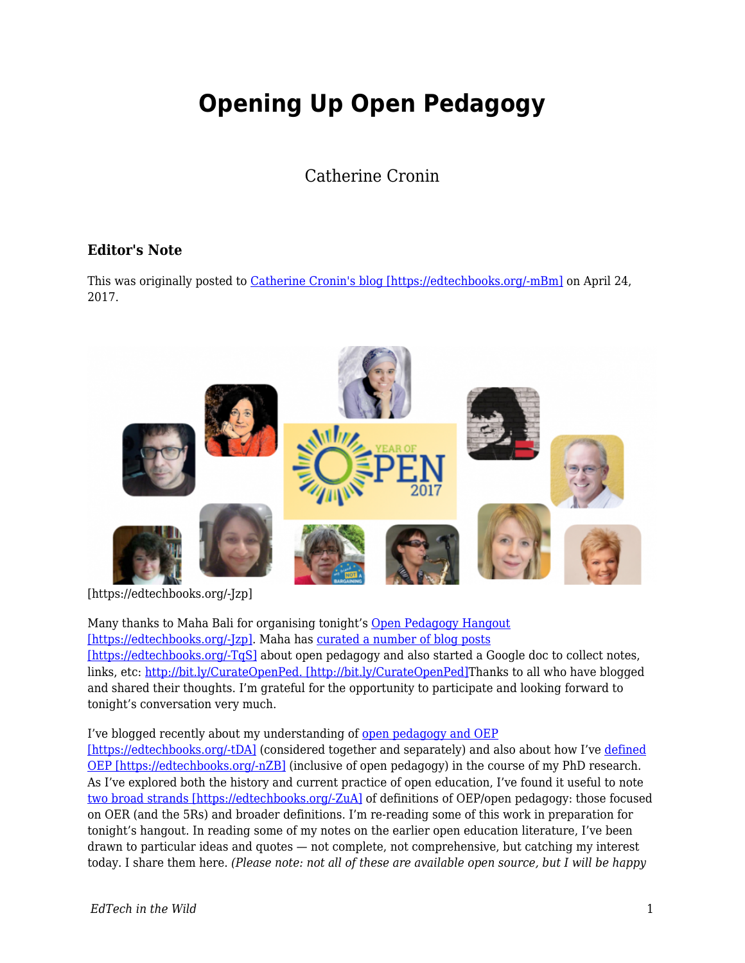# **Opening Up Open Pedagogy**

## Catherine Cronin

### **Editor's Note**

This was originally posted to [Catherine Cronin's blog \[https://edtechbooks.org/-mBm\]](http://catherinecronin.net/research/opening-up-open-pedagogy/) on April 24, 2017.



[https://edtechbooks.org/-Jzp]

Many thanks to Maha Bali for organising tonight's [Open Pedagogy Hangout](https://blog.mahabali.me/blog/whyopen/what-is-open-pedagogy-yearofopen-hangout-april-24/) [\[https://edtechbooks.org/-Jzp\].](https://blog.mahabali.me/blog/whyopen/what-is-open-pedagogy-yearofopen-hangout-april-24/) Maha has [curated a number of blog posts](https://blog.mahabali.me/blog/whyopen/curation-of-posts-on-open-pedagogy-yearofopen/) [https://edtechbooks.org/-TgS] about open pedagogy and also started a Google doc to collect notes, links, etc: [http://bit.ly/CurateOpenPed. \[http://bit.ly/CurateOpenPed\]](http://bit.ly/CurateOpenPed)Thanks to all who have blogged and shared their thoughts. I'm grateful for the opportunity to participate and looking forward to tonight's conversation very much.

#### I've blogged recently about my understanding of [open pedagogy and OEP](http://catherinecronin.net/conferences/oeglobal-reflections/)

[\[https://edtechbooks.org/-tDA\]](http://catherinecronin.net/conferences/oeglobal-reflections/) (considered together and separately) and also about how I've [defined](http://catherinecronin.net/phd-research/openness-and-praxis/) [OEP \[https://edtechbooks.org/-nZB\]](http://catherinecronin.net/phd-research/openness-and-praxis/) (inclusive of open pedagogy) in the course of my PhD research. As I've explored both the history and current practice of open education, I've found it useful to note [two broad strands \[https://edtechbooks.org/-ZuA\]](https://www.slideshare.net/cicronin/open-culture-open-education-open-questions/14) of definitions of OEP/open pedagogy: those focused on OER (and the 5Rs) and broader definitions. I'm re-reading some of this work in preparation for tonight's hangout. In reading some of my notes on the earlier open education literature, I've been drawn to particular ideas and quotes — not complete, not comprehensive, but catching my interest today. I share them here. *(Please note: not all of these are available open source, but I will be happy*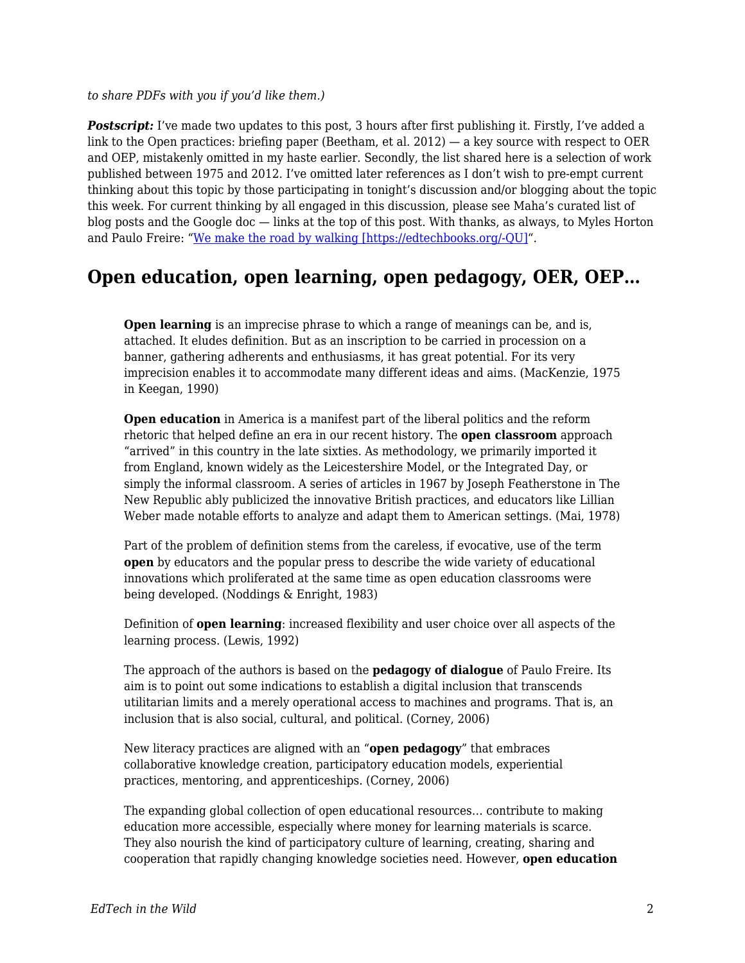*to share PDFs with you if you'd like them.)*

**Postscript:** I've made two updates to this post, 3 hours after first publishing it. Firstly, I've added a link to the Open practices: briefing paper (Beetham, et al. 2012) — a key source with respect to OER and OEP, mistakenly omitted in my haste earlier. Secondly, the list shared here is a selection of work published between 1975 and 2012. I've omitted later references as I don't wish to pre-empt current thinking about this topic by those participating in tonight's discussion and/or blogging about the topic this week. For current thinking by all engaged in this discussion, please see Maha's curated list of blog posts and the Google doc — links at the top of this post. With thanks, as always, to Myles Horton and Paulo Freire: "[We make the road by walking \[https://edtechbooks.org/-QU\]](http://www.temple.edu/tempress/titles/804_reg.html)".

### **Open education, open learning, open pedagogy, OER, OEP…**

**Open learning** is an imprecise phrase to which a range of meanings can be, and is, attached. It eludes definition. But as an inscription to be carried in procession on a banner, gathering adherents and enthusiasms, it has great potential. For its very imprecision enables it to accommodate many different ideas and aims. (MacKenzie, 1975 in Keegan, 1990)

**Open education** in America is a manifest part of the liberal politics and the reform rhetoric that helped define an era in our recent history. The **open classroom** approach "arrived" in this country in the late sixties. As methodology, we primarily imported it from England, known widely as the Leicestershire Model, or the Integrated Day, or simply the informal classroom. A series of articles in 1967 by Joseph Featherstone in The New Republic ably publicized the innovative British practices, and educators like Lillian Weber made notable efforts to analyze and adapt them to American settings. (Mai, 1978)

Part of the problem of definition stems from the careless, if evocative, use of the term **open** by educators and the popular press to describe the wide variety of educational innovations which proliferated at the same time as open education classrooms were being developed. (Noddings & Enright, 1983)

Definition of **open learning**: increased flexibility and user choice over all aspects of the learning process. (Lewis, 1992)

The approach of the authors is based on the **pedagogy of dialogue** of Paulo Freire. Its aim is to point out some indications to establish a digital inclusion that transcends utilitarian limits and a merely operational access to machines and programs. That is, an inclusion that is also social, cultural, and political. (Corney, 2006)

New literacy practices are aligned with an "**open pedagogy**" that embraces collaborative knowledge creation, participatory education models, experiential practices, mentoring, and apprenticeships. (Corney, 2006)

The expanding global collection of open educational resources… contribute to making education more accessible, especially where money for learning materials is scarce. They also nourish the kind of participatory culture of learning, creating, sharing and cooperation that rapidly changing knowledge societies need. However, **open education**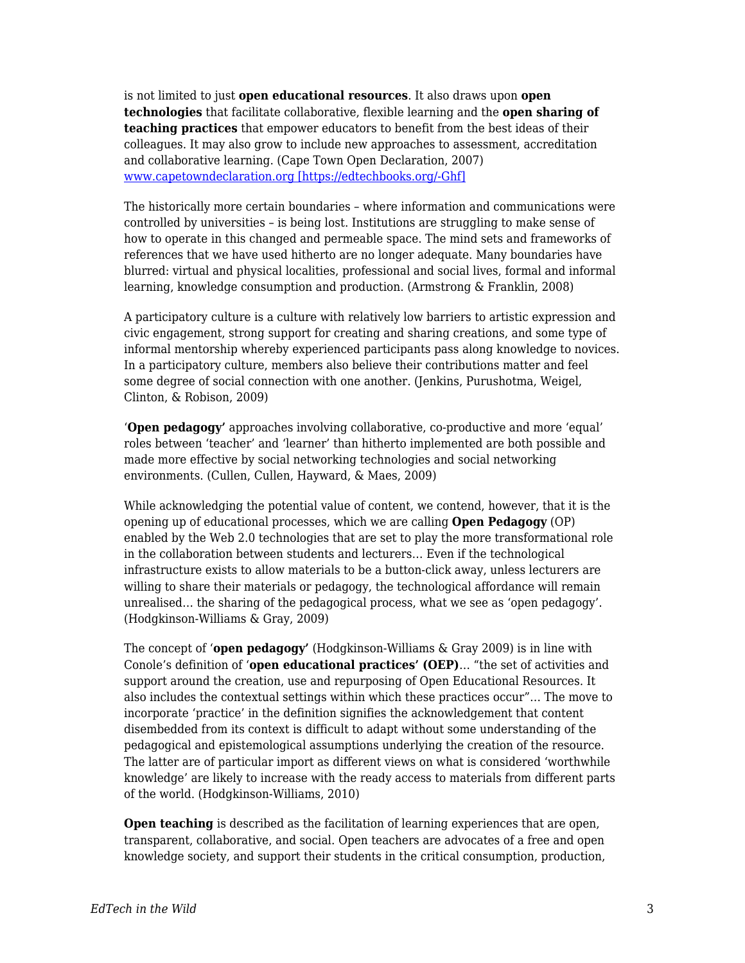is not limited to just **open educational resources**. It also draws upon **open technologies** that facilitate collaborative, flexible learning and the **open sharing of teaching practices** that empower educators to benefit from the best ideas of their colleagues. It may also grow to include new approaches to assessment, accreditation and collaborative learning. (Cape Town Open Declaration, 2007) [www.capetowndeclaration.org \[https://edtechbooks.org/-Ghf\]](http://www.capetowndeclaration.org)

The historically more certain boundaries – where information and communications were controlled by universities – is being lost. Institutions are struggling to make sense of how to operate in this changed and permeable space. The mind sets and frameworks of references that we have used hitherto are no longer adequate. Many boundaries have blurred: virtual and physical localities, professional and social lives, formal and informal learning, knowledge consumption and production. (Armstrong & Franklin, 2008)

A participatory culture is a culture with relatively low barriers to artistic expression and civic engagement, strong support for creating and sharing creations, and some type of informal mentorship whereby experienced participants pass along knowledge to novices. In a participatory culture, members also believe their contributions matter and feel some degree of social connection with one another. (Jenkins, Purushotma, Weigel, Clinton, & Robison, 2009)

'**Open pedagogy'** approaches involving collaborative, co-productive and more 'equal' roles between 'teacher' and 'learner' than hitherto implemented are both possible and made more effective by social networking technologies and social networking environments. (Cullen, Cullen, Hayward, & Maes, 2009)

While acknowledging the potential value of content, we contend, however, that it is the opening up of educational processes, which we are calling **Open Pedagogy** (OP) enabled by the Web 2.0 technologies that are set to play the more transformational role in the collaboration between students and lecturers… Even if the technological infrastructure exists to allow materials to be a button-click away, unless lecturers are willing to share their materials or pedagogy, the technological affordance will remain unrealised… the sharing of the pedagogical process, what we see as 'open pedagogy'. (Hodgkinson-Williams & Gray, 2009)

The concept of '**open pedagogy'** (Hodgkinson-Williams & Gray 2009) is in line with Conole's definition of '**open educational practices' (OEP)**… "the set of activities and support around the creation, use and repurposing of Open Educational Resources. It also includes the contextual settings within which these practices occur"… The move to incorporate 'practice' in the definition signifies the acknowledgement that content disembedded from its context is difficult to adapt without some understanding of the pedagogical and epistemological assumptions underlying the creation of the resource. The latter are of particular import as different views on what is considered 'worthwhile knowledge' are likely to increase with the ready access to materials from different parts of the world. (Hodgkinson-Williams, 2010)

**Open teaching** is described as the facilitation of learning experiences that are open, transparent, collaborative, and social. Open teachers are advocates of a free and open knowledge society, and support their students in the critical consumption, production,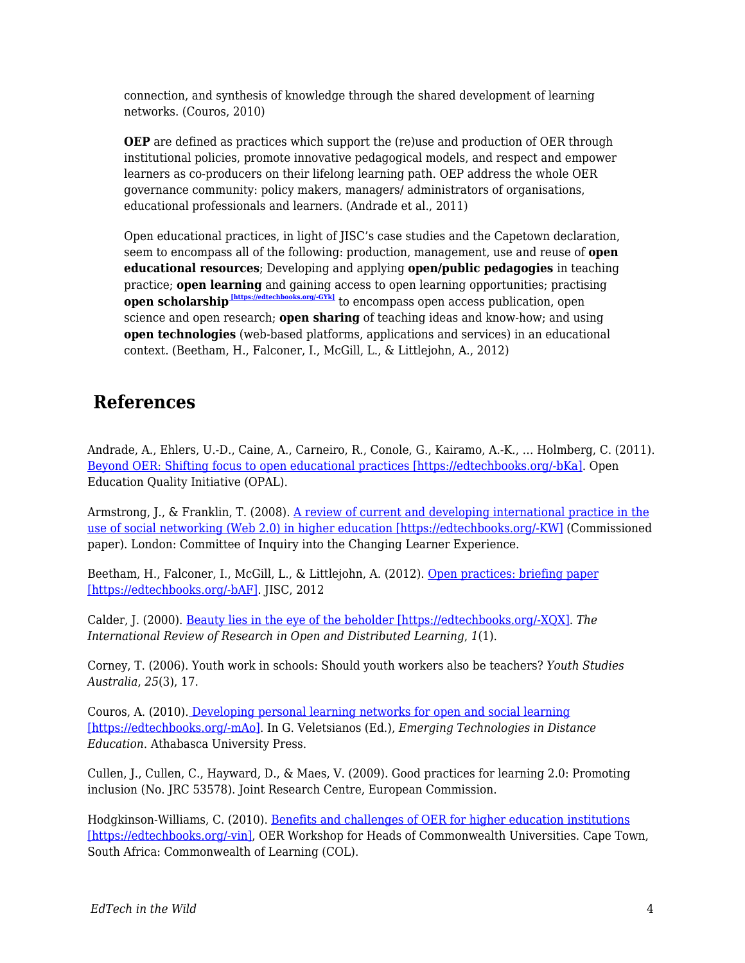connection, and synthesis of knowledge through the shared development of learning networks. (Couros, 2010)

**OEP** are defined as practices which support the (re)use and production of OER through institutional policies, promote innovative pedagogical models, and respect and empower learners as co-producers on their lifelong learning path. OEP address the whole OER governance community: policy makers, managers/ administrators of organisations, educational professionals and learners. (Andrade et al., 2011)

Open educational practices, in light of JISC's case studies and the Capetown declaration, seem to encompass all of the following: production, management, use and reuse of **open educational resources**; Developing and applying **open/public pedagogies** in teaching practice; **open learning** and gaining access to open learning opportunities; practising **open scholarship [https://edtechbooks.org/-GYk]** to encompass open access publication, open science and open research; **open sharing** of teaching ideas and know-how; and using **open technologies** (web-based platforms, applications and services) in an educational context. (Beetham, H., Falconer, I., McGill, L., & Littlejohn, A., 2012)

## **References**

Andrade, A., Ehlers, U.-D., Caine, A., Carneiro, R., Conole, G., Kairamo, A.-K., … Holmberg, C. (2011). [Beyond OER: Shifting focus to open educational practices \[https://edtechbooks.org/-bKa\].](https://oerknowledgecloud.org/sites/oerknowledgecloud.org/files/OPAL2011.pdf) Open Education Quality Initiative (OPAL).

Armstrong, J., & Franklin, T. (2008). [A review of current and developing international practice in the](http://www.franklin-consulting.co.uk/LinkedDocuments/the%20use%20of%20social%20networking%20in%20HE.pdf) [use of social networking \(Web 2.0\) in higher education \[https://edtechbooks.org/-KW\]](http://www.franklin-consulting.co.uk/LinkedDocuments/the%20use%20of%20social%20networking%20in%20HE.pdf) (Commissioned paper). London: Committee of Inquiry into the Changing Learner Experience.

Beetham, H., Falconer, I., McGill, L., & Littlejohn, A. (2012). [Open practices: briefing paper](https://oersynth.pbworks.com/w/page/51668352/OpenPracticesBriefing) [\[https://edtechbooks.org/-bAF\].](https://oersynth.pbworks.com/w/page/51668352/OpenPracticesBriefing) JISC, 2012

Calder, J. (2000). [Beauty lies in the eye of the beholder \[https://edtechbooks.org/-XQX\]](http://www.irrodl.org/index.php/irrodl/article/view/6). *The International Review of Research in Open and Distributed Learning*, *1*(1).

Corney, T. (2006). Youth work in schools: Should youth workers also be teachers? *Youth Studies Australia*, *25*(3), 17.

Couros, A. (2010)[. Developing personal learning networks for open and social learning](http://www.aupress.ca/books/120177/ebook/06_Veletsianos_2010-Emerging_Technologies_in_Distance_Education.pdf) [\[https://edtechbooks.org/-mAo\].](http://www.aupress.ca/books/120177/ebook/06_Veletsianos_2010-Emerging_Technologies_in_Distance_Education.pdf) In G. Veletsianos (Ed.), *Emerging Technologies in Distance Education*. Athabasca University Press.

Cullen, J., Cullen, C., Hayward, D., & Maes, V. (2009). Good practices for learning 2.0: Promoting inclusion (No. JRC 53578). Joint Research Centre, European Commission.

Hodgkinson-Williams, C. (2010). [Benefits and challenges of OER for higher education institutions](http://s3.amazonaws.com/academia.edu.documents/30975955/Hodgkinson-Williams_2010_Final-1.pdf?AWSAccessKeyId=AKIAIWOWYYGZ2Y53UL3A&Expires=1488212070&Signature=dYwpbNCpik%2Be%2F8wujKnpgKDe2zE%3D&response-content-disposition=inline%3B%20filename%3DBenefits_and_challenges_of_OER_for_highe.pdf) [\[https://edtechbooks.org/-vin\]](http://s3.amazonaws.com/academia.edu.documents/30975955/Hodgkinson-Williams_2010_Final-1.pdf?AWSAccessKeyId=AKIAIWOWYYGZ2Y53UL3A&Expires=1488212070&Signature=dYwpbNCpik%2Be%2F8wujKnpgKDe2zE%3D&response-content-disposition=inline%3B%20filename%3DBenefits_and_challenges_of_OER_for_highe.pdf), OER Workshop for Heads of Commonwealth Universities. Cape Town, South Africa: Commonwealth of Learning (COL).